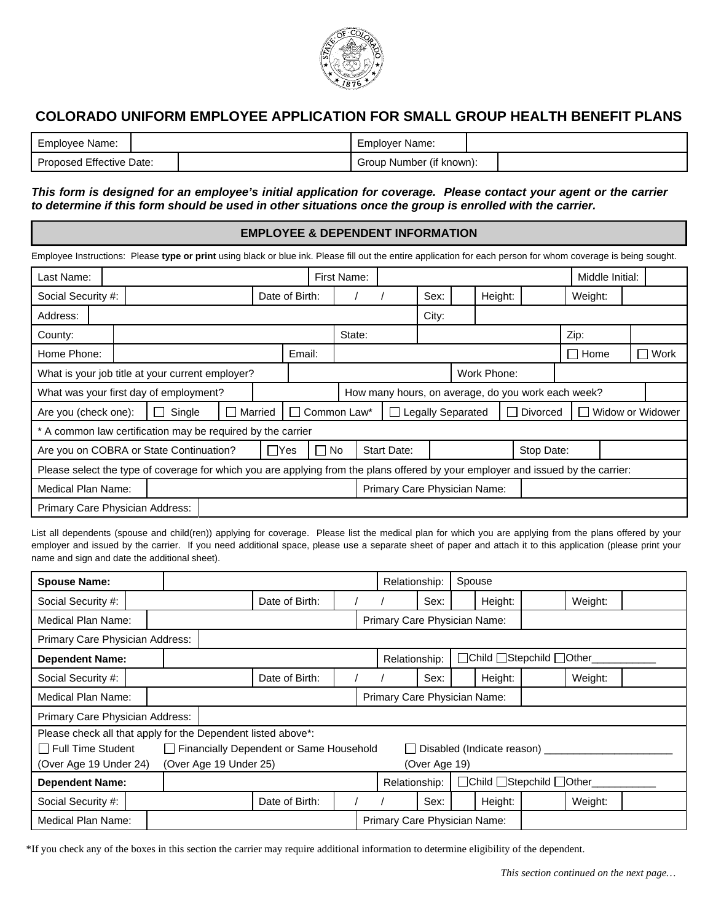

# **COLORADO UNIFORM EMPLOYEE APPLICATION FOR SMALL GROUP HEALTH BENEFIT PLANS**

| Employee Name:           | Employer Name:           |  |
|--------------------------|--------------------------|--|
| Proposed Effective Date: | Group Number (if known): |  |

### *This form is designed for an employee's initial application for coverage. Please contact your agent or the carrier to determine if this form should be used in other situations once the group is enrolled with the carrier.*

### **EMPLOYEE & DEPENDENT INFORMATION**

| Employee Instructions: Please type or print using black or blue ink. Please fill out the entire application for each person for whom coverage is being sought. |  |        |  |         |                |  |                                                                         |  |       |  |             |                                                    |             |                 |  |        |
|----------------------------------------------------------------------------------------------------------------------------------------------------------------|--|--------|--|---------|----------------|--|-------------------------------------------------------------------------|--|-------|--|-------------|----------------------------------------------------|-------------|-----------------|--|--------|
| Last Name:                                                                                                                                                     |  |        |  |         |                |  | First Name:                                                             |  |       |  |             |                                                    |             | Middle Initial: |  |        |
| Social Security #:                                                                                                                                             |  |        |  |         | Date of Birth: |  |                                                                         |  | Sex:  |  | Height:     |                                                    | Weight:     |                 |  |        |
| Address:                                                                                                                                                       |  |        |  |         |                |  |                                                                         |  | City: |  |             |                                                    |             |                 |  |        |
| County:                                                                                                                                                        |  |        |  |         |                |  | State:                                                                  |  |       |  |             |                                                    | Zip:        |                 |  |        |
| Home Phone:                                                                                                                                                    |  |        |  |         | Email:         |  |                                                                         |  |       |  |             |                                                    | $\Box$ Home |                 |  | ∏ Work |
| What is your job title at your current employer?                                                                                                               |  |        |  |         |                |  |                                                                         |  |       |  | Work Phone: |                                                    |             |                 |  |        |
| What was your first day of employment?                                                                                                                         |  |        |  |         |                |  |                                                                         |  |       |  |             | How many hours, on average, do you work each week? |             |                 |  |        |
| Are you (check one):                                                                                                                                           |  | Single |  | Married |                |  | $\Box$ Legally Separated<br>Common Law*<br>Widow or Widower<br>Divorced |  |       |  |             |                                                    |             |                 |  |        |
| * A common law certification may be required by the carrier                                                                                                    |  |        |  |         |                |  |                                                                         |  |       |  |             |                                                    |             |                 |  |        |
| $\Box$ Yes<br>Are you on COBRA or State Continuation?                                                                                                          |  |        |  |         | $\Box$ No      |  | <b>Start Date:</b>                                                      |  |       |  | Stop Date:  |                                                    |             |                 |  |        |
| Please select the type of coverage for which you are applying from the plans offered by your employer and issued by the carrier:                               |  |        |  |         |                |  |                                                                         |  |       |  |             |                                                    |             |                 |  |        |
| Primary Care Physician Name:<br>Medical Plan Name:                                                                                                             |  |        |  |         |                |  |                                                                         |  |       |  |             |                                                    |             |                 |  |        |
| Primary Care Physician Address:                                                                                                                                |  |        |  |         |                |  |                                                                         |  |       |  |             |                                                    |             |                 |  |        |

List all dependents (spouse and child(ren)) applying for coverage. Please list the medical plan for which you are applying from the plans offered by your employer and issued by the carrier. If you need additional space, please use a separate sheet of paper and attach it to this application (please print your name and sign and date the additional sheet).

| <b>Spouse Name:</b>                                                                                         |                                                                   |                |                |               |                              | Spouse<br>Relationship:      |  |                          |  |         |  |
|-------------------------------------------------------------------------------------------------------------|-------------------------------------------------------------------|----------------|----------------|---------------|------------------------------|------------------------------|--|--------------------------|--|---------|--|
| Social Security #:                                                                                          |                                                                   |                | Date of Birth: |               |                              | Sex:                         |  | Height:                  |  | Weight: |  |
| Medical Plan Name:                                                                                          |                                                                   |                |                |               | Primary Care Physician Name: |                              |  |                          |  |         |  |
| Primary Care Physician Address:                                                                             |                                                                   |                |                |               |                              |                              |  |                          |  |         |  |
| <b>Dependent Name:</b>                                                                                      |                                                                   |                |                |               | Relationship:                |                              |  | □Child □Stepchild □Other |  |         |  |
| Social Security #:                                                                                          |                                                                   |                | Date of Birth: |               |                              | Sex:                         |  | Height:                  |  | Weight: |  |
| <b>Medical Plan Name:</b>                                                                                   |                                                                   |                |                |               |                              | Primary Care Physician Name: |  |                          |  |         |  |
| Primary Care Physician Address:                                                                             |                                                                   |                |                |               |                              |                              |  |                          |  |         |  |
| Please check all that apply for the Dependent listed above*:<br>Full Time Student<br>(Over Age 19 Under 24) | Financially Dependent or Same Household<br>(Over Age 19 Under 25) |                | $\mathbf{L}$   | (Over Age 19) |                              | Disabled (Indicate reason) _ |  |                          |  |         |  |
| <b>Dependent Name:</b>                                                                                      |                                                                   |                |                |               | Relationship:                |                              |  | □Child □Stepchild □Other |  |         |  |
| Social Security #:                                                                                          |                                                                   | Date of Birth: |                |               |                              | Sex:                         |  | Height:                  |  | Weight: |  |
| Medical Plan Name:                                                                                          |                                                                   |                |                |               | Primary Care Physician Name: |                              |  |                          |  |         |  |

\*If you check any of the boxes in this section the carrier may require additional information to determine eligibility of the dependent.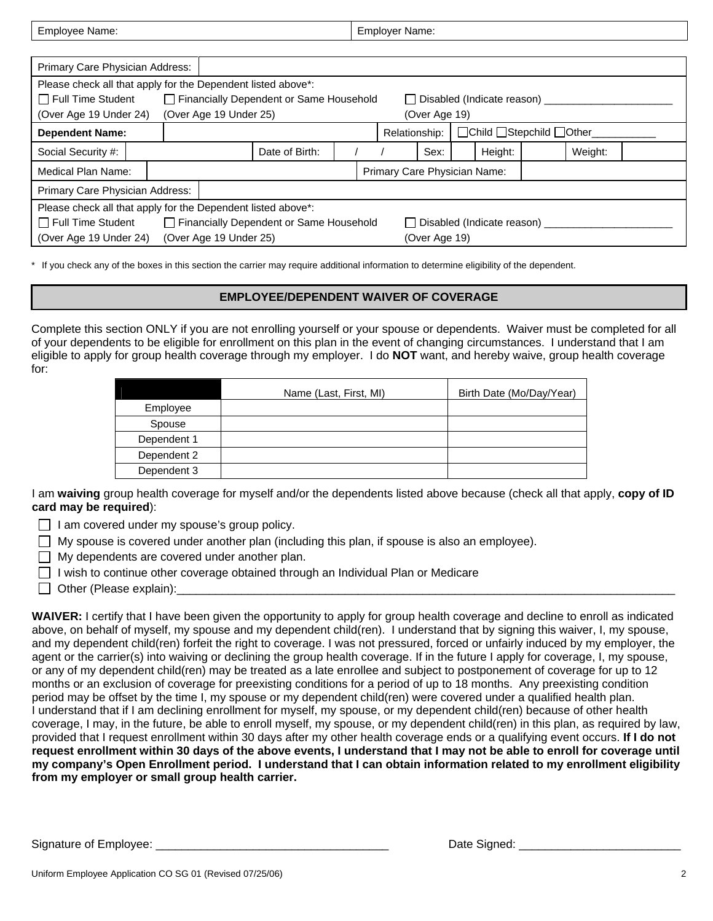| Employee Name:                                               |                                                                       |                                         |  | <b>Employer Name:</b>                     |               |                                   |         |  |
|--------------------------------------------------------------|-----------------------------------------------------------------------|-----------------------------------------|--|-------------------------------------------|---------------|-----------------------------------|---------|--|
|                                                              |                                                                       |                                         |  |                                           |               |                                   |         |  |
| Primary Care Physician Address:                              |                                                                       |                                         |  |                                           |               |                                   |         |  |
| Please check all that apply for the Dependent listed above*: |                                                                       |                                         |  |                                           |               |                                   |         |  |
| $\Box$ Full Time Student                                     |                                                                       | Financially Dependent or Same Household |  |                                           |               | □ Disabled (Indicate reason) ____ |         |  |
| (Over Age 19 Under 24)                                       | (Over Age 19 Under 25)                                                |                                         |  |                                           | (Over Age 19) |                                   |         |  |
| <b>Dependent Name:</b>                                       |                                                                       |                                         |  | □Child □Stepchild □Other<br>Relationship: |               |                                   |         |  |
| Social Security #:                                           |                                                                       | Date of Birth:                          |  | Height:<br>Sex:                           |               |                                   | Weight: |  |
| Medical Plan Name:                                           |                                                                       |                                         |  |                                           |               | Primary Care Physician Name:      |         |  |
| Primary Care Physician Address:                              |                                                                       |                                         |  |                                           |               |                                   |         |  |
|                                                              | Please check all that apply for the Dependent listed above*:          |                                         |  |                                           |               |                                   |         |  |
| Full Time Student                                            | Financially Dependent or Same Household<br>Disabled (Indicate reason) |                                         |  |                                           |               |                                   |         |  |
| (Over Age 19 Under 24)                                       | (Over Age 19 Under 25)                                                |                                         |  |                                           | (Over Age 19) |                                   |         |  |

\* If you check any of the boxes in this section the carrier may require additional information to determine eligibility of the dependent.

#### **EMPLOYEE/DEPENDENT WAIVER OF COVERAGE**

Complete this section ONLY if you are not enrolling yourself or your spouse or dependents. Waiver must be completed for all of your dependents to be eligible for enrollment on this plan in the event of changing circumstances. I understand that I am eligible to apply for group health coverage through my employer. I do **NOT** want, and hereby waive, group health coverage for:

|             | Name (Last, First, MI) | Birth Date (Mo/Day/Year) |
|-------------|------------------------|--------------------------|
| Employee    |                        |                          |
| Spouse      |                        |                          |
| Dependent 1 |                        |                          |
| Dependent 2 |                        |                          |
| Dependent 3 |                        |                          |

I am **waiving** group health coverage for myself and/or the dependents listed above because (check all that apply, **copy of ID card may be required**):

- $\Box$  I am covered under my spouse's group policy.
- $\Box$  My spouse is covered under another plan (including this plan, if spouse is also an employee).
- $\Box$  My dependents are covered under another plan.
- $\Box$  I wish to continue other coverage obtained through an Individual Plan or Medicare
- $\Box$  Other (Please explain):

**WAIVER:** I certify that I have been given the opportunity to apply for group health coverage and decline to enroll as indicated above, on behalf of myself, my spouse and my dependent child(ren). I understand that by signing this waiver, I, my spouse, and my dependent child(ren) forfeit the right to coverage. I was not pressured, forced or unfairly induced by my employer, the agent or the carrier(s) into waiving or declining the group health coverage. If in the future I apply for coverage, I, my spouse, or any of my dependent child(ren) may be treated as a late enrollee and subject to postponement of coverage for up to 12 months or an exclusion of coverage for preexisting conditions for a period of up to 18 months. Any preexisting condition period may be offset by the time I, my spouse or my dependent child(ren) were covered under a qualified health plan. I understand that if I am declining enrollment for myself, my spouse, or my dependent child(ren) because of other health coverage, I may, in the future, be able to enroll myself, my spouse, or my dependent child(ren) in this plan, as required by law, provided that I request enrollment within 30 days after my other health coverage ends or a qualifying event occurs. **If I do not request enrollment within 30 days of the above events, I understand that I may not be able to enroll for coverage until my company's Open Enrollment period. I understand that I can obtain information related to my enrollment eligibility from my employer or small group health carrier.** 

Signature of Employee: \_\_\_\_\_\_\_\_\_\_\_\_\_\_\_\_\_\_\_\_\_\_\_\_\_\_\_\_\_\_\_\_\_\_\_\_ Date Signed: \_\_\_\_\_\_\_\_\_\_\_\_\_\_\_\_\_\_\_\_\_\_\_\_\_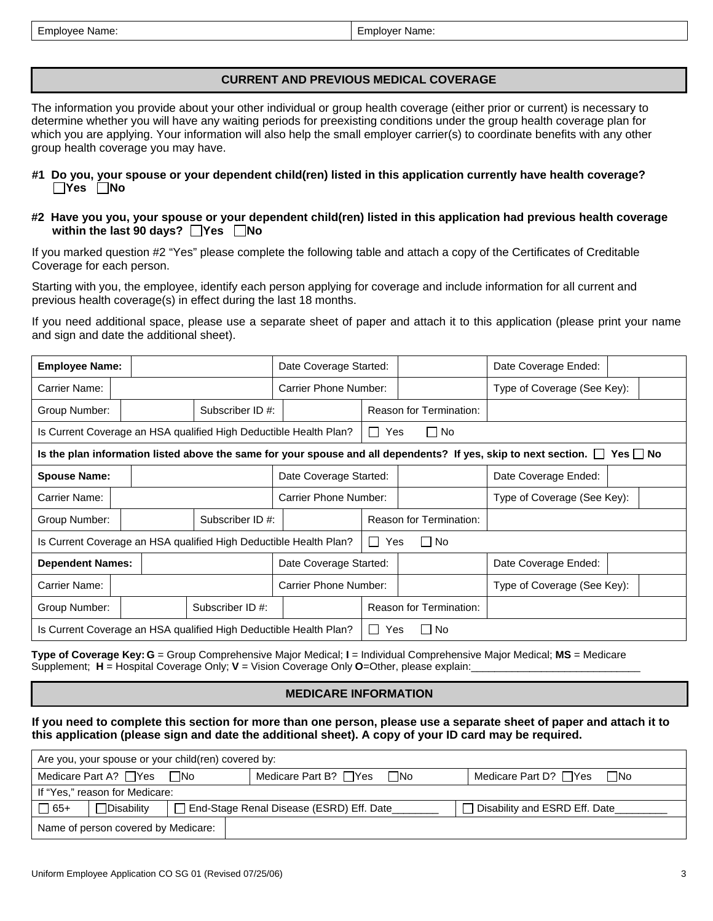| <b>Employee Name:</b> | Employer Name: |
|-----------------------|----------------|
|-----------------------|----------------|

# **CURRENT AND PREVIOUS MEDICAL COVERAGE**

The information you provide about your other individual or group health coverage (either prior or current) is necessary to determine whether you will have any waiting periods for preexisting conditions under the group health coverage plan for which you are applying. Your information will also help the small employer carrier(s) to coordinate benefits with any other group health coverage you may have.

#### **#1 Do you, your spouse or your dependent child(ren) listed in this application currently have health coverage? Yes No**

**#2 Have you you, your spouse or your dependent child(ren) listed in this application had previous health coverage within the last 90 days?** ■ Yes ■ No

If you marked question #2 "Yes" please complete the following table and attach a copy of the Certificates of Creditable Coverage for each person.

Starting with you, the employee, identify each person applying for coverage and include information for all current and previous health coverage(s) in effect during the last 18 months.

If you need additional space, please use a separate sheet of paper and attach it to this application (please print your name and sign and date the additional sheet).

| <b>Employee Name:</b>   |                                                                   | Date Coverage Started: |                          |                                | Date Coverage Ended:                                                                                                   |               |
|-------------------------|-------------------------------------------------------------------|------------------------|--------------------------|--------------------------------|------------------------------------------------------------------------------------------------------------------------|---------------|
| Carrier Name:           |                                                                   | Carrier Phone Number:  |                          | Type of Coverage (See Key):    |                                                                                                                        |               |
| Group Number:           | Subscriber ID #:                                                  |                        |                          | <b>Reason for Termination:</b> |                                                                                                                        |               |
|                         | Is Current Coverage an HSA qualified High Deductible Health Plan? |                        | Yes<br>$\perp$           | $\Box$ No                      |                                                                                                                        |               |
|                         |                                                                   |                        |                          |                                | Is the plan information listed above the same for your spouse and all dependents? If yes, skip to next section. $\Box$ | $Yes \mid No$ |
| <b>Spouse Name:</b>     |                                                                   | Date Coverage Started: |                          |                                | Date Coverage Ended:                                                                                                   |               |
| Carrier Name:           |                                                                   | Carrier Phone Number:  |                          |                                | Type of Coverage (See Key):                                                                                            |               |
| Group Number:           | Subscriber ID #:                                                  |                        |                          | <b>Reason for Termination:</b> |                                                                                                                        |               |
|                         | Is Current Coverage an HSA qualified High Deductible Health Plan? |                        | $\cdot$ O $\cdot$<br>Yes | ∏ No                           |                                                                                                                        |               |
| <b>Dependent Names:</b> |                                                                   | Date Coverage Started: |                          |                                | Date Coverage Ended:                                                                                                   |               |
| Carrier Name:           |                                                                   | Carrier Phone Number:  |                          |                                | Type of Coverage (See Key):                                                                                            |               |
| Group Number:           | Subscriber ID #:                                                  |                        |                          | <b>Reason for Termination:</b> |                                                                                                                        |               |
|                         | Is Current Coverage an HSA qualified High Deductible Health Plan? |                        | $\mathbf{L}$<br>Yes      | □ No                           |                                                                                                                        |               |

**Type of Coverage Key: G** = Group Comprehensive Major Medical; **I** = Individual Comprehensive Major Medical; **MS** = Medicare Supplement; **H** = Hospital Coverage Only; **V** = Vision Coverage Only **O**=Other, please explain:

## **MEDICARE INFORMATION**

**If you need to complete this section for more than one person, please use a separate sheet of paper and attach it to this application (please sign and date the additional sheet). A copy of your ID card may be required.** 

| Are you, your spouse or your child(ren) covered by:                                                                        |                                |  |                                           |                                |  |  |  |  |
|----------------------------------------------------------------------------------------------------------------------------|--------------------------------|--|-------------------------------------------|--------------------------------|--|--|--|--|
| Medicare Part A? $\Box$ Yes $\Box$ No<br>$\square$ No<br>∩No<br>Medicare Part B? $\Box$ Yes<br>Medicare Part D? $\Box$ Yes |                                |  |                                           |                                |  |  |  |  |
|                                                                                                                            | If "Yes," reason for Medicare: |  |                                           |                                |  |  |  |  |
| $\Box$ 65+                                                                                                                 | <b>Disability</b>              |  | End-Stage Renal Disease (ESRD) Eff. Date_ | Disability and ESRD Eff. Date_ |  |  |  |  |
| Name of person covered by Medicare:                                                                                        |                                |  |                                           |                                |  |  |  |  |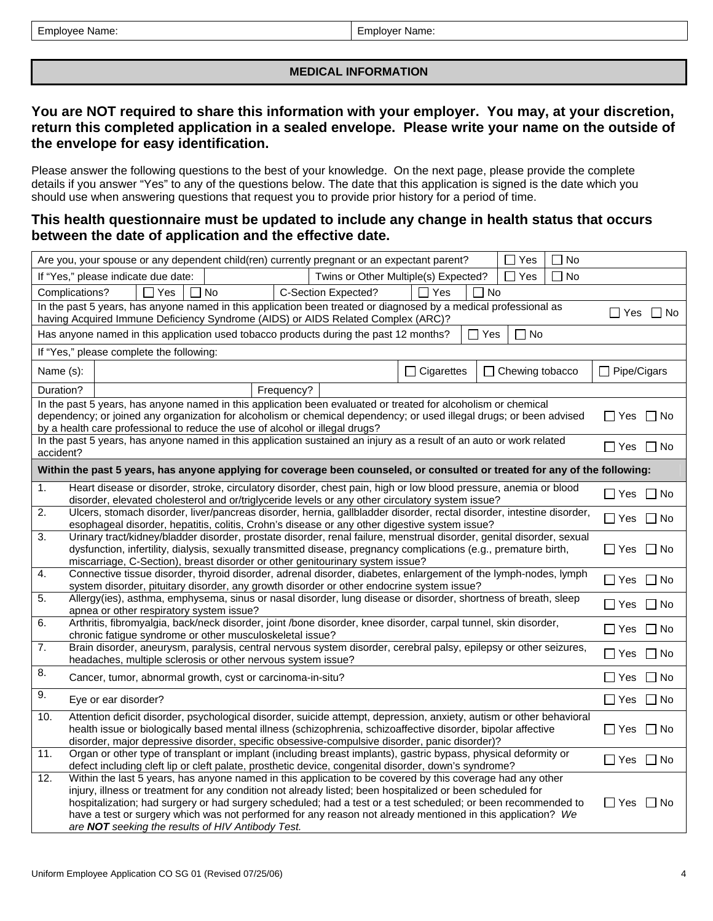### **MEDICAL INFORMATION**

# **You are NOT required to share this information with your employer. You may, at your discretion, return this completed application in a sealed envelope. Please write your name on the outside of the envelope for easy identification.**

Please answer the following questions to the best of your knowledge. On the next page, please provide the complete details if you answer "Yes" to any of the questions below. The date that this application is signed is the date which you should use when answering questions that request you to provide prior history for a period of time.

# **This health questionnaire must be updated to include any change in health status that occurs between the date of application and the effective date.**

|                | Yes<br>No<br>Are you, your spouse or any dependent child(ren) currently pregnant or an expectant parent?                                                                                                                                                                                                                                                                                                                                                                                                      |                         |  |  |  |  |  |  |
|----------------|---------------------------------------------------------------------------------------------------------------------------------------------------------------------------------------------------------------------------------------------------------------------------------------------------------------------------------------------------------------------------------------------------------------------------------------------------------------------------------------------------------------|-------------------------|--|--|--|--|--|--|
|                | If "Yes," please indicate due date:<br>Twins or Other Multiple(s) Expected?<br>Yes<br>∏ No                                                                                                                                                                                                                                                                                                                                                                                                                    |                         |  |  |  |  |  |  |
| Complications? | $\Box$ Yes<br>$\Box$ No<br><b>C-Section Expected?</b><br>$\Box$ Yes<br>l INo                                                                                                                                                                                                                                                                                                                                                                                                                                  |                         |  |  |  |  |  |  |
|                | In the past 5 years, has anyone named in this application been treated or diagnosed by a medical professional as<br>$\Box$ Yes $\Box$ No<br>having Acquired Immune Deficiency Syndrome (AIDS) or AIDS Related Complex (ARC)?                                                                                                                                                                                                                                                                                  |                         |  |  |  |  |  |  |
|                | $\Box$ Yes<br>$\Box$ No<br>Has anyone named in this application used tobacco products during the past 12 months?                                                                                                                                                                                                                                                                                                                                                                                              |                         |  |  |  |  |  |  |
|                | If "Yes," please complete the following:                                                                                                                                                                                                                                                                                                                                                                                                                                                                      |                         |  |  |  |  |  |  |
| Name (s):      | $\Box$ Cigarettes<br>Chewing tobacco                                                                                                                                                                                                                                                                                                                                                                                                                                                                          | Pipe/Cigars<br>$\Box$   |  |  |  |  |  |  |
| Duration?      | Frequency?                                                                                                                                                                                                                                                                                                                                                                                                                                                                                                    |                         |  |  |  |  |  |  |
|                | In the past 5 years, has anyone named in this application been evaluated or treated for alcoholism or chemical<br>dependency; or joined any organization for alcoholism or chemical dependency; or used illegal drugs; or been advised<br>by a health care professional to reduce the use of alcohol or illegal drugs?                                                                                                                                                                                        | □ Yes □ No              |  |  |  |  |  |  |
| accident?      | In the past 5 years, has anyone named in this application sustained an injury as a result of an auto or work related                                                                                                                                                                                                                                                                                                                                                                                          | ∐Yes ∐No                |  |  |  |  |  |  |
|                | Within the past 5 years, has anyone applying for coverage been counseled, or consulted or treated for any of the following:                                                                                                                                                                                                                                                                                                                                                                                   |                         |  |  |  |  |  |  |
| 1.             | Heart disease or disorder, stroke, circulatory disorder, chest pain, high or low blood pressure, anemia or blood<br>disorder, elevated cholesterol and or/triglyceride levels or any other circulatory system issue?                                                                                                                                                                                                                                                                                          | $\Box$ Yes<br>$\Box$ No |  |  |  |  |  |  |
| 2.             | Ulcers, stomach disorder, liver/pancreas disorder, hernia, gallbladder disorder, rectal disorder, intestine disorder,<br>esophageal disorder, hepatitis, colitis, Crohn's disease or any other digestive system issue?                                                                                                                                                                                                                                                                                        | $\Box$ Yes<br>$\Box$ No |  |  |  |  |  |  |
| 3.             | Urinary tract/kidney/bladder disorder, prostate disorder, renal failure, menstrual disorder, genital disorder, sexual<br>dysfunction, infertility, dialysis, sexually transmitted disease, pregnancy complications (e.g., premature birth,<br>miscarriage, C-Section), breast disorder or other genitourinary system issue?                                                                                                                                                                                   | l Yes<br>l I No         |  |  |  |  |  |  |
| 4.             | Connective tissue disorder, thyroid disorder, adrenal disorder, diabetes, enlargement of the lymph-nodes, lymph<br>system disorder, pituitary disorder, any growth disorder or other endocrine system issue?                                                                                                                                                                                                                                                                                                  | $\Box$ Yes<br>l INo     |  |  |  |  |  |  |
| 5.             | Allergy(ies), asthma, emphysema, sinus or nasal disorder, lung disease or disorder, shortness of breath, sleep<br>apnea or other respiratory system issue?                                                                                                                                                                                                                                                                                                                                                    | $\Box$ No<br>$\Box$ Yes |  |  |  |  |  |  |
| 6.             | Arthritis, fibromyalgia, back/neck disorder, joint /bone disorder, knee disorder, carpal tunnel, skin disorder,<br>chronic fatigue syndrome or other musculoskeletal issue?                                                                                                                                                                                                                                                                                                                                   | $\Box$ No<br>∐ Yes      |  |  |  |  |  |  |
| 7.             | Brain disorder, aneurysm, paralysis, central nervous system disorder, cerebral palsy, epilepsy or other seizures,<br>headaches, multiple sclerosis or other nervous system issue?                                                                                                                                                                                                                                                                                                                             | $\Box$ No<br>∐ Yes      |  |  |  |  |  |  |
| 8.             | Cancer, tumor, abnormal growth, cyst or carcinoma-in-situ?                                                                                                                                                                                                                                                                                                                                                                                                                                                    | $\Box$ No<br>∐ Yes      |  |  |  |  |  |  |
| 9.             | Eye or ear disorder?                                                                                                                                                                                                                                                                                                                                                                                                                                                                                          | $\Box$ Yes<br>$\Box$ No |  |  |  |  |  |  |
| 10.            | Attention deficit disorder, psychological disorder, suicide attempt, depression, anxiety, autism or other behavioral<br>health issue or biologically based mental illness (schizophrenia, schizoaffective disorder, bipolar affective<br>disorder, major depressive disorder, specific obsessive-compulsive disorder, panic disorder)?                                                                                                                                                                        | $\Box$ No<br>∣ Yes      |  |  |  |  |  |  |
| 11.            | Organ or other type of transplant or implant (including breast implants), gastric bypass, physical deformity or<br>defect including cleft lip or cleft palate, prosthetic device, congenital disorder, down's syndrome?                                                                                                                                                                                                                                                                                       | $\Box$ Yes<br>□ No      |  |  |  |  |  |  |
| 12.            | Within the last 5 years, has anyone named in this application to be covered by this coverage had any other<br>injury, illness or treatment for any condition not already listed; been hospitalized or been scheduled for<br>hospitalization; had surgery or had surgery scheduled; had a test or a test scheduled; or been recommended to<br>have a test or surgery which was not performed for any reason not already mentioned in this application? We<br>are NOT seeking the results of HIV Antibody Test. | ∐ Yes<br>$\Box$ No      |  |  |  |  |  |  |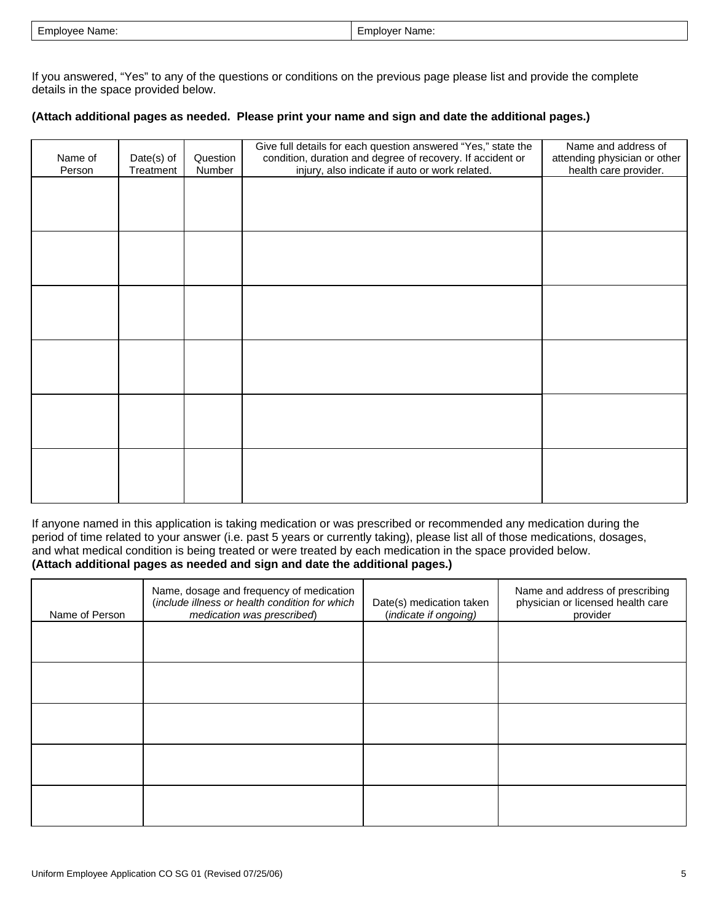| $\sim$<br>mployee<br>Name: | Name:<br><b>ווחונזוז</b> ז |
|----------------------------|----------------------------|
|----------------------------|----------------------------|

If you answered, "Yes" to any of the questions or conditions on the previous page please list and provide the complete details in the space provided below.

### **(Attach additional pages as needed. Please print your name and sign and date the additional pages.)**

| Name of<br>Person | Date(s) of<br>Treatment | Question<br>Number | Give full details for each question answered "Yes," state the<br>condition, duration and degree of recovery. If accident or<br>injury, also indicate if auto or work related. | Name and address of<br>attending physician or other<br>health care provider. |
|-------------------|-------------------------|--------------------|-------------------------------------------------------------------------------------------------------------------------------------------------------------------------------|------------------------------------------------------------------------------|
|                   |                         |                    |                                                                                                                                                                               |                                                                              |
|                   |                         |                    |                                                                                                                                                                               |                                                                              |
|                   |                         |                    |                                                                                                                                                                               |                                                                              |
|                   |                         |                    |                                                                                                                                                                               |                                                                              |
|                   |                         |                    |                                                                                                                                                                               |                                                                              |
|                   |                         |                    |                                                                                                                                                                               |                                                                              |
|                   |                         |                    |                                                                                                                                                                               |                                                                              |
|                   |                         |                    |                                                                                                                                                                               |                                                                              |

If anyone named in this application is taking medication or was prescribed or recommended any medication during the period of time related to your answer (i.e. past 5 years or currently taking), please list all of those medications, dosages, and what medical condition is being treated or were treated by each medication in the space provided below. **(Attach additional pages as needed and sign and date the additional pages.)** 

| Name of Person | Name, dosage and frequency of medication<br>(include illness or health condition for which<br>medication was prescribed) | Date(s) medication taken<br>(indicate if ongoing) | Name and address of prescribing<br>physician or licensed health care<br>provider |
|----------------|--------------------------------------------------------------------------------------------------------------------------|---------------------------------------------------|----------------------------------------------------------------------------------|
|                |                                                                                                                          |                                                   |                                                                                  |
|                |                                                                                                                          |                                                   |                                                                                  |
|                |                                                                                                                          |                                                   |                                                                                  |
|                |                                                                                                                          |                                                   |                                                                                  |
|                |                                                                                                                          |                                                   |                                                                                  |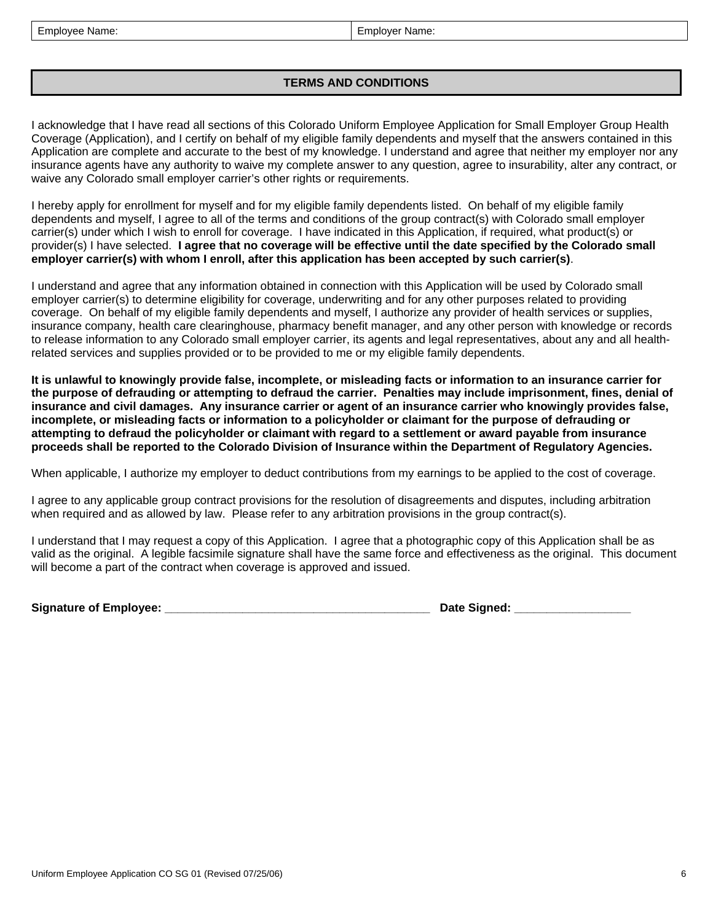| Employee Name: | Employer Name: |
|----------------|----------------|
|----------------|----------------|

## **TERMS AND CONDITIONS**

I acknowledge that I have read all sections of this Colorado Uniform Employee Application for Small Employer Group Health Coverage (Application), and I certify on behalf of my eligible family dependents and myself that the answers contained in this Application are complete and accurate to the best of my knowledge. I understand and agree that neither my employer nor any insurance agents have any authority to waive my complete answer to any question, agree to insurability, alter any contract, or waive any Colorado small employer carrier's other rights or requirements.

I hereby apply for enrollment for myself and for my eligible family dependents listed. On behalf of my eligible family dependents and myself, I agree to all of the terms and conditions of the group contract(s) with Colorado small employer carrier(s) under which I wish to enroll for coverage. I have indicated in this Application, if required, what product(s) or provider(s) I have selected. **I agree that no coverage will be effective until the date specified by the Colorado small employer carrier(s) with whom I enroll, after this application has been accepted by such carrier(s)**.

I understand and agree that any information obtained in connection with this Application will be used by Colorado small employer carrier(s) to determine eligibility for coverage, underwriting and for any other purposes related to providing coverage. On behalf of my eligible family dependents and myself, I authorize any provider of health services or supplies, insurance company, health care clearinghouse, pharmacy benefit manager, and any other person with knowledge or records to release information to any Colorado small employer carrier, its agents and legal representatives, about any and all healthrelated services and supplies provided or to be provided to me or my eligible family dependents.

**It is unlawful to knowingly provide false, incomplete, or misleading facts or information to an insurance carrier for the purpose of defrauding or attempting to defraud the carrier. Penalties may include imprisonment, fines, denial of insurance and civil damages. Any insurance carrier or agent of an insurance carrier who knowingly provides false, incomplete, or misleading facts or information to a policyholder or claimant for the purpose of defrauding or attempting to defraud the policyholder or claimant with regard to a settlement or award payable from insurance proceeds shall be reported to the Colorado Division of Insurance within the Department of Regulatory Agencies.** 

When applicable, I authorize my employer to deduct contributions from my earnings to be applied to the cost of coverage.

I agree to any applicable group contract provisions for the resolution of disagreements and disputes, including arbitration when required and as allowed by law. Please refer to any arbitration provisions in the group contract(s).

I understand that I may request a copy of this Application. I agree that a photographic copy of this Application shall be as valid as the original. A legible facsimile signature shall have the same force and effectiveness as the original. This document will become a part of the contract when coverage is approved and issued.

| <b>Signature of Employee:</b> |  |  |
|-------------------------------|--|--|
|-------------------------------|--|--|

**Signature of Employee: \_\_\_\_\_\_\_\_\_\_\_\_\_\_\_\_\_\_\_\_\_\_\_\_\_\_\_\_\_\_\_\_\_\_\_\_\_\_\_\_\_ Date Signed: \_\_\_\_\_\_\_\_\_\_\_\_\_\_\_\_\_\_**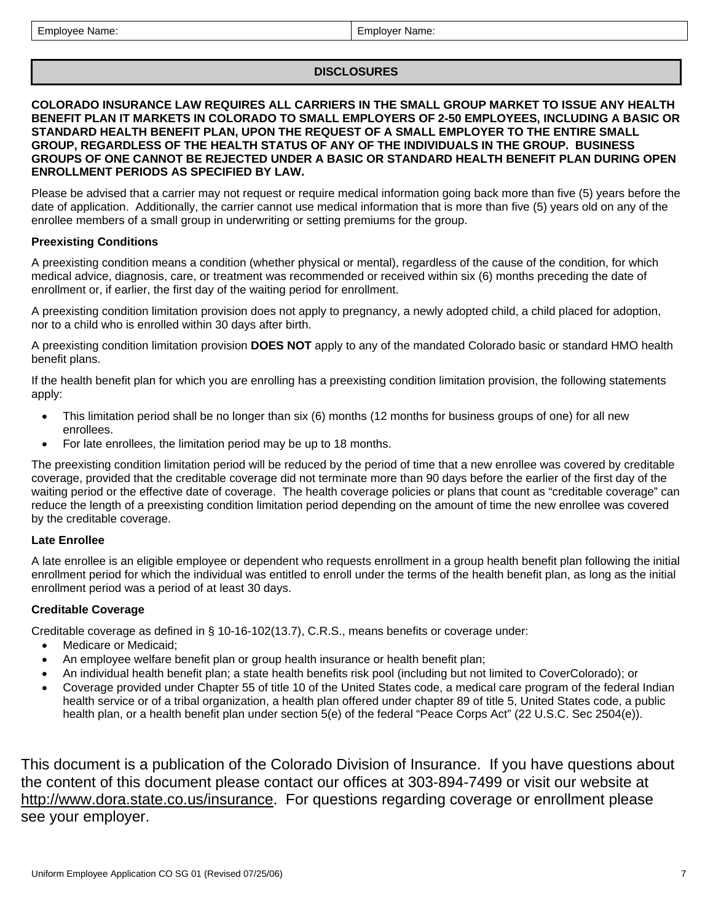### **DISCLOSURES**

### **COLORADO INSURANCE LAW REQUIRES ALL CARRIERS IN THE SMALL GROUP MARKET TO ISSUE ANY HEALTH BENEFIT PLAN IT MARKETS IN COLORADO TO SMALL EMPLOYERS OF 2-50 EMPLOYEES, INCLUDING A BASIC OR STANDARD HEALTH BENEFIT PLAN, UPON THE REQUEST OF A SMALL EMPLOYER TO THE ENTIRE SMALL GROUP, REGARDLESS OF THE HEALTH STATUS OF ANY OF THE INDIVIDUALS IN THE GROUP. BUSINESS GROUPS OF ONE CANNOT BE REJECTED UNDER A BASIC OR STANDARD HEALTH BENEFIT PLAN DURING OPEN ENROLLMENT PERIODS AS SPECIFIED BY LAW.**

Please be advised that a carrier may not request or require medical information going back more than five (5) years before the date of application. Additionally, the carrier cannot use medical information that is more than five (5) years old on any of the enrollee members of a small group in underwriting or setting premiums for the group.

### **Preexisting Conditions**

A preexisting condition means a condition (whether physical or mental), regardless of the cause of the condition, for which medical advice, diagnosis, care, or treatment was recommended or received within six (6) months preceding the date of enrollment or, if earlier, the first day of the waiting period for enrollment.

A preexisting condition limitation provision does not apply to pregnancy, a newly adopted child, a child placed for adoption, nor to a child who is enrolled within 30 days after birth.

A preexisting condition limitation provision **DOES NOT** apply to any of the mandated Colorado basic or standard HMO health benefit plans.

If the health benefit plan for which you are enrolling has a preexisting condition limitation provision, the following statements apply:

- This limitation period shall be no longer than six (6) months (12 months for business groups of one) for all new enrollees.
- For late enrollees, the limitation period may be up to 18 months.

The preexisting condition limitation period will be reduced by the period of time that a new enrollee was covered by creditable coverage, provided that the creditable coverage did not terminate more than 90 days before the earlier of the first day of the waiting period or the effective date of coverage. The health coverage policies or plans that count as "creditable coverage" can reduce the length of a preexisting condition limitation period depending on the amount of time the new enrollee was covered by the creditable coverage.

## **Late Enrollee**

A late enrollee is an eligible employee or dependent who requests enrollment in a group health benefit plan following the initial enrollment period for which the individual was entitled to enroll under the terms of the health benefit plan, as long as the initial enrollment period was a period of at least 30 days.

## **Creditable Coverage**

Creditable coverage as defined in § 10-16-102(13.7), C.R.S., means benefits or coverage under:

- Medicare or Medicaid;
- An employee welfare benefit plan or group health insurance or health benefit plan;
- An individual health benefit plan; a state health benefits risk pool (including but not limited to CoverColorado); or
- Coverage provided under Chapter 55 of title 10 of the United States code, a medical care program of the federal Indian health service or of a tribal organization, a health plan offered under chapter 89 of title 5, United States code, a public health plan, or a health benefit plan under section 5(e) of the federal "Peace Corps Act" (22 U.S.C. Sec 2504(e)).

This document is a publication of the Colorado Division of Insurance. If you have questions about the content of this document please contact our offices at 303-894-7499 or visit our website at [http://www.dora.state.co.us/insurance.](http://www.dora.state.co.us/insurance) For questions regarding coverage or enrollment please see your employer.